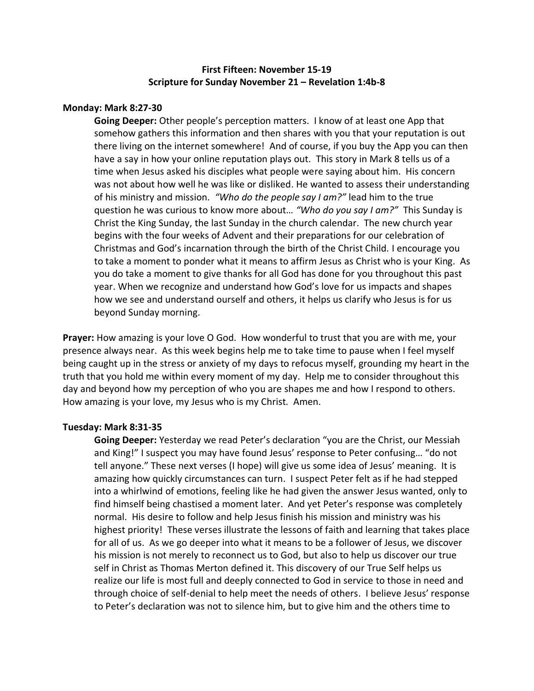# **First Fifteen: November 15-19 Scripture for Sunday November 21 – Revelation 1:4b-8**

### **Monday: Mark 8:27-30**

**Going Deeper:** Other people's perception matters. I know of at least one App that somehow gathers this information and then shares with you that your reputation is out there living on the internet somewhere! And of course, if you buy the App you can then have a say in how your online reputation plays out. This story in Mark 8 tells us of a time when Jesus asked his disciples what people were saying about him. His concern was not about how well he was like or disliked. He wanted to assess their understanding of his ministry and mission. *"Who do the people say I am?"* lead him to the true question he was curious to know more about… *"Who do you say I am?"* This Sunday is Christ the King Sunday, the last Sunday in the church calendar. The new church year begins with the four weeks of Advent and their preparations for our celebration of Christmas and God's incarnation through the birth of the Christ Child. I encourage you to take a moment to ponder what it means to affirm Jesus as Christ who is your King. As you do take a moment to give thanks for all God has done for you throughout this past year. When we recognize and understand how God's love for us impacts and shapes how we see and understand ourself and others, it helps us clarify who Jesus is for us beyond Sunday morning.

**Prayer:** How amazing is your love O God. How wonderful to trust that you are with me, your presence always near. As this week begins help me to take time to pause when I feel myself being caught up in the stress or anxiety of my days to refocus myself, grounding my heart in the truth that you hold me within every moment of my day. Help me to consider throughout this day and beyond how my perception of who you are shapes me and how I respond to others. How amazing is your love, my Jesus who is my Christ. Amen.

## **Tuesday: Mark 8:31-35**

**Going Deeper:** Yesterday we read Peter's declaration "you are the Christ, our Messiah and King!" I suspect you may have found Jesus' response to Peter confusing… "do not tell anyone." These next verses (I hope) will give us some idea of Jesus' meaning. It is amazing how quickly circumstances can turn. I suspect Peter felt as if he had stepped into a whirlwind of emotions, feeling like he had given the answer Jesus wanted, only to find himself being chastised a moment later. And yet Peter's response was completely normal. His desire to follow and help Jesus finish his mission and ministry was his highest priority! These verses illustrate the lessons of faith and learning that takes place for all of us. As we go deeper into what it means to be a follower of Jesus, we discover his mission is not merely to reconnect us to God, but also to help us discover our true self in Christ as Thomas Merton defined it. This discovery of our True Self helps us realize our life is most full and deeply connected to God in service to those in need and through choice of self-denial to help meet the needs of others. I believe Jesus' response to Peter's declaration was not to silence him, but to give him and the others time to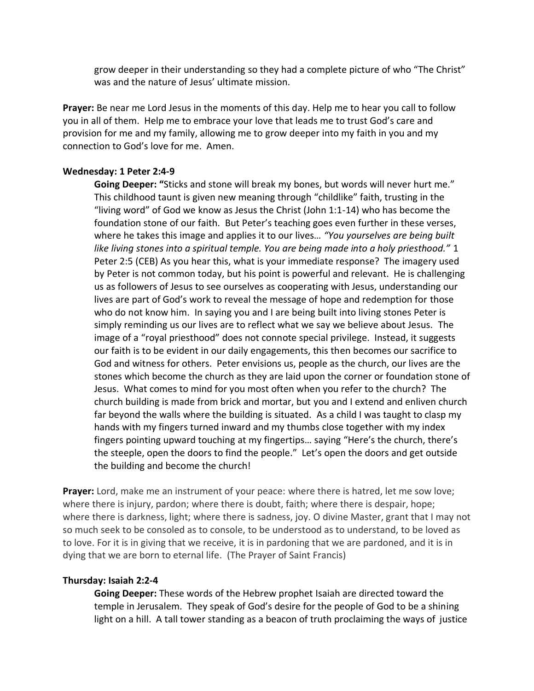grow deeper in their understanding so they had a complete picture of who "The Christ" was and the nature of Jesus' ultimate mission.

**Prayer:** Be near me Lord Jesus in the moments of this day. Help me to hear you call to follow you in all of them. Help me to embrace your love that leads me to trust God's care and provision for me and my family, allowing me to grow deeper into my faith in you and my connection to God's love for me. Amen.

### **Wednesday: 1 Peter 2:4-9**

**Going Deeper: "**Sticks and stone will break my bones, but words will never hurt me." This childhood taunt is given new meaning through "childlike" faith, trusting in the "living word" of God we know as Jesus the Christ (John 1:1-14) who has become the foundation stone of our faith. But Peter's teaching goes even further in these verses, where he takes this image and applies it to our lives… *"You yourselves are being built like living stones into a spiritual temple. You are being made into a holy priesthood."* 1 Peter 2:5 (CEB) As you hear this, what is your immediate response? The imagery used by Peter is not common today, but his point is powerful and relevant. He is challenging us as followers of Jesus to see ourselves as cooperating with Jesus, understanding our lives are part of God's work to reveal the message of hope and redemption for those who do not know him. In saying you and I are being built into living stones Peter is simply reminding us our lives are to reflect what we say we believe about Jesus. The image of a "royal priesthood" does not connote special privilege. Instead, it suggests our faith is to be evident in our daily engagements, this then becomes our sacrifice to God and witness for others. Peter envisions us, people as the church, our lives are the stones which become the church as they are laid upon the corner or foundation stone of Jesus. What comes to mind for you most often when you refer to the church? The church building is made from brick and mortar, but you and I extend and enliven church far beyond the walls where the building is situated. As a child I was taught to clasp my hands with my fingers turned inward and my thumbs close together with my index fingers pointing upward touching at my fingertips… saying "Here's the church, there's the steeple, open the doors to find the people." Let's open the doors and get outside the building and become the church!

**Prayer:** Lord, make me an instrument of your peace: where there is hatred, let me sow love; where there is injury, pardon; where there is doubt, faith; where there is despair, hope; where there is darkness, light; where there is sadness, joy. O divine Master, grant that I may not so much seek to be consoled as to console, to be understood as to understand, to be loved as to love. For it is in giving that we receive, it is in pardoning that we are pardoned, and it is in dying that we are born to eternal life. (The Prayer of Saint Francis)

## **Thursday: Isaiah 2:2-4**

**Going Deeper:** These words of the Hebrew prophet Isaiah are directed toward the temple in Jerusalem. They speak of God's desire for the people of God to be a shining light on a hill. A tall tower standing as a beacon of truth proclaiming the ways of justice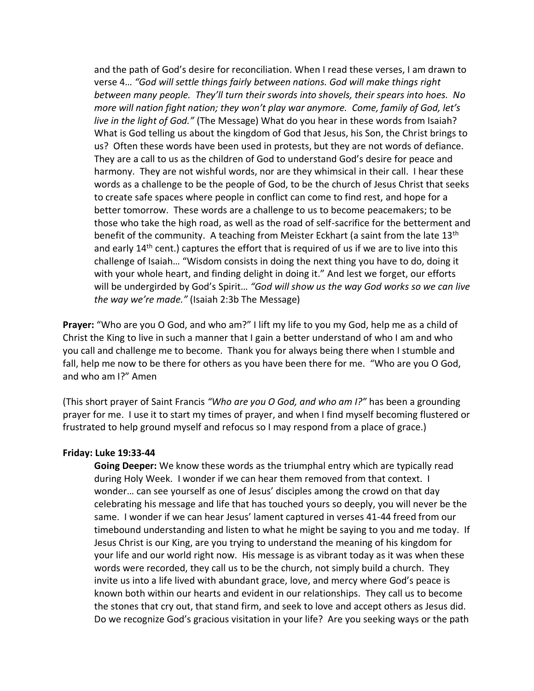and the path of God's desire for reconciliation. When I read these verses, I am drawn to verse 4… *"God will settle things fairly between nations. God will make things right between many people. They'll turn their swords into shovels, their spears into hoes. No more will nation fight nation; they won't play war anymore. Come, family of God, let's live in the light of God."* (The Message) What do you hear in these words from Isaiah? What is God telling us about the kingdom of God that Jesus, his Son, the Christ brings to us? Often these words have been used in protests, but they are not words of defiance. They are a call to us as the children of God to understand God's desire for peace and harmony. They are not wishful words, nor are they whimsical in their call. I hear these words as a challenge to be the people of God, to be the church of Jesus Christ that seeks to create safe spaces where people in conflict can come to find rest, and hope for a better tomorrow. These words are a challenge to us to become peacemakers; to be those who take the high road, as well as the road of self-sacrifice for the betterment and benefit of the community. A teaching from Meister Eckhart (a saint from the late 13<sup>th</sup> and early 14<sup>th</sup> cent.) captures the effort that is required of us if we are to live into this challenge of Isaiah… "Wisdom consists in doing the next thing you have to do, doing it with your whole heart, and finding delight in doing it." And lest we forget, our efforts will be undergirded by God's Spirit… *"God will show us the way God works so we can live the way we're made."* (Isaiah 2:3b The Message)

**Prayer:** "Who are you O God, and who am?" I lift my life to you my God, help me as a child of Christ the King to live in such a manner that I gain a better understand of who I am and who you call and challenge me to become. Thank you for always being there when I stumble and fall, help me now to be there for others as you have been there for me. "Who are you O God, and who am I?" Amen

(This short prayer of Saint Francis *"Who are you O God, and who am I?"* has been a grounding prayer for me. I use it to start my times of prayer, and when I find myself becoming flustered or frustrated to help ground myself and refocus so I may respond from a place of grace.)

#### **Friday: Luke 19:33-44**

**Going Deeper:** We know these words as the triumphal entry which are typically read during Holy Week. I wonder if we can hear them removed from that context. I wonder… can see yourself as one of Jesus' disciples among the crowd on that day celebrating his message and life that has touched yours so deeply, you will never be the same. I wonder if we can hear Jesus' lament captured in verses 41-44 freed from our timebound understanding and listen to what he might be saying to you and me today. If Jesus Christ is our King, are you trying to understand the meaning of his kingdom for your life and our world right now. His message is as vibrant today as it was when these words were recorded, they call us to be the church, not simply build a church. They invite us into a life lived with abundant grace, love, and mercy where God's peace is known both within our hearts and evident in our relationships. They call us to become the stones that cry out, that stand firm, and seek to love and accept others as Jesus did. Do we recognize God's gracious visitation in your life? Are you seeking ways or the path